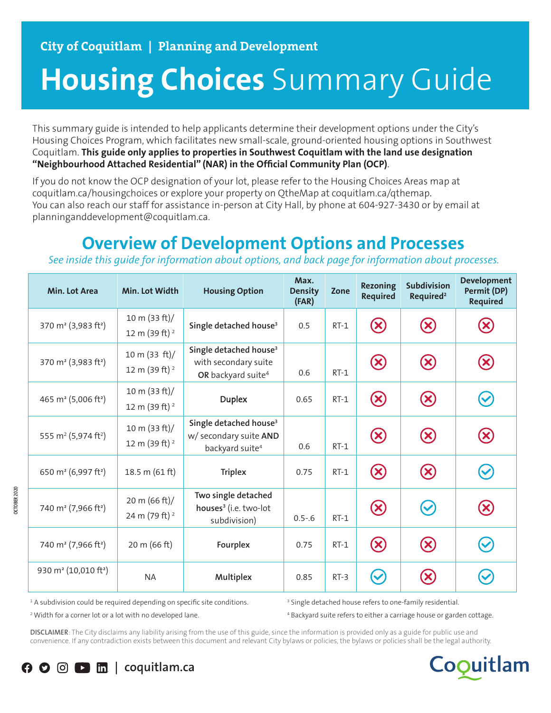# **Housing Choices** Summary Guide

This summary guide is intended to help applicants determine their development options under the City's Housing Choices Program, which facilitates new small-scale, ground-oriented housing options in Southwest Coquitlam. **This guide only applies to properties in Southwest Coquitlam with the land use designation "Neighbourhood Attached Residential" (NAR) in the Official Community Plan (OCP)**.

If you do not know the OCP designation of your lot, please refer to the Housing Choices Areas map at coquitlam.ca/housingchoices or explore your property on QtheMap at coquitlam.ca/qthemap. You can also reach our staff for assistance in-person at City Hall, by phone at 604-927-3430 or by email at planninganddevelopment@coquitlam.ca.

## **Overview of Development Options and Processes**

*See inside this guide for information about options, and back page for information about processes.*

| <b>Min. Lot Area</b>                         | Min. Lot Width                                | <b>Housing Option</b>                                                                        | Max.<br><b>Density</b><br>(FAR) | Zone   | <b>Rezoning</b><br><b>Required</b> | <b>Subdivision</b><br>Required <sup>2</sup>               | <b>Development</b><br>Permit (DP)<br><b>Required</b> |
|----------------------------------------------|-----------------------------------------------|----------------------------------------------------------------------------------------------|---------------------------------|--------|------------------------------------|-----------------------------------------------------------|------------------------------------------------------|
| 370 m <sup>2</sup> (3,983 ft <sup>2</sup> )  | 10 m (33 ft)/<br>12 m (39 ft) <sup>2</sup>    | Single detached house <sup>3</sup>                                                           | 0.5                             | $RT-1$ | $\left( \times \right)$            | $(\mathsf{x})$                                            | $(\mathsf{x})$                                       |
| 370 m <sup>2</sup> (3,983 ft <sup>2</sup> )  | 10 m (33 ft)/<br>12 m (39 ft) <sup>2</sup>    | Single detached house <sup>3</sup><br>with secondary suite<br>OR backyard suite <sup>4</sup> | 0.6                             | $RT-1$ | $({\bm \times})$                   | $\left( \mathsf{x}\right)$                                | $\boldsymbol{\varkappa}$                             |
| 465 m <sup>2</sup> (5,006 ft <sup>2</sup> )  | 10 m $(33 ft)$ /<br>12 m (39 ft) <sup>2</sup> | <b>Duplex</b>                                                                                | 0.65                            | $RT-1$ | $\left(\!\infty\!\right)$          | $\mathbf{\mathbf{\mathbf{\mathbf{\mathbf{\mathbf{X}}}}}}$ |                                                      |
| 555 m <sup>2</sup> (5,974 ft <sup>2</sup> )  | 10 m $(33 ft)/$<br>12 m (39 ft) <sup>2</sup>  | Single detached house <sup>3</sup><br>w/ secondary suite AND<br>backyard suite <sup>4</sup>  | 0.6                             | $RT-1$ | $\bigcirc$                         | $\left( \infty \right)$                                   | $\infty$                                             |
| 650 m <sup>2</sup> (6,997 ft <sup>2</sup> )  | 18.5 m (61 ft)                                | <b>Triplex</b>                                                                               | 0.75                            | $RT-1$ | $\left( \infty \right)$            | $\bigcirc$                                                |                                                      |
| 740 m <sup>2</sup> (7,966 ft <sup>2</sup> )  | 20 m $(66 ft)$ /<br>24 m (79 ft) <sup>2</sup> | Two single detached<br>houses <sup>3</sup> (i.e. two-lot<br>subdivision)                     | $0.5 - 6$                       | $RT-1$ | $\bigcirc$                         | $\bm{\mathcal{C}}$                                        | $\boldsymbol{\chi}$                                  |
| 740 m <sup>2</sup> (7,966 ft <sup>2</sup> )  | 20 m (66 ft)                                  | Fourplex                                                                                     | 0.75                            | $RT-1$ | $\infty$                           | $\left( \mathsf{x}\right)$                                |                                                      |
| 930 m <sup>2</sup> (10,010 ft <sup>2</sup> ) | <b>NA</b>                                     | Multiplex                                                                                    | 0.85                            | $RT-3$ |                                    |                                                           |                                                      |

<sup>1</sup> A subdivision could be required depending on specific site conditions.

<sup>3</sup> Single detached house refers to one-family residential.

2 Width for a corner lot or a lot with no developed lane.

4 Backyard suite refers to either a carriage house or garden cottage.

**DISCLAIMER**: The City disclaims any liability arising from the use of this guide, since the information is provided only as a guide for public use and convenience. If any contradiction exists between this document and relevant City bylaws or policies, the bylaws or policies shall be the legal authority.



**OCTOBER 2020**

**DCTOBER 2020**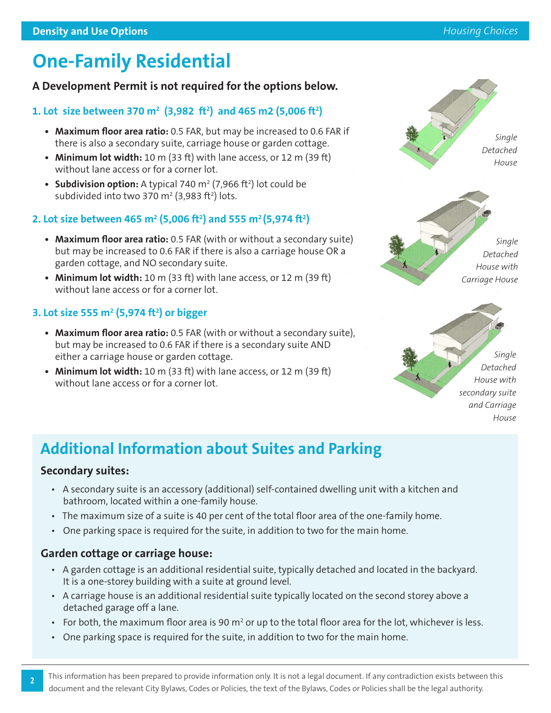# **One-Family Residential**

### **A Development Permit is not required for the options below.**

### **1. Lot size between 370 m2 (3,982 ft2 ) and 465 m2 (5,006 ft2 )**

- **• Maximum floor area ratio:** 0.5 FAR, but may be increased to 0.6 FAR if there is also a secondary suite, carriage house or garden cottage.
- **• Minimum lot width:** 10 m (33 ft) with lane access, or 12 m (39 ft) without lane access or for a corner lot.
- **Subdivision option:** A typical 740 m<sup>2</sup> (7,966 ft<sup>2</sup>) lot could be subdivided into two 370 m<sup>2</sup> (3,983 ft<sup>2</sup>) lots.

### 2. Lot size between 465 m<sup>2</sup> (5,006 ft<sup>2</sup>) and 555 m<sup>2</sup> (5,974 ft<sup>2</sup>)

- **• Maximum floor area ratio:** 0.5 FAR (with or without a secondary suite) but may be increased to 0.6 FAR if there is also a carriage house OR a garden cottage, and NO secondary suite.
- **• Minimum lot width:** 10 m (33 ft) with lane access, or 12 m (39 ft) without lane access or for a corner lot.

### **3. Lot size 555 m2 (5,974 ft2 ) or bigger**

- **• Maximum floor area ratio:** 0.5 FAR (with or without a secondary suite), but may be increased to 0.6 FAR if there is a secondary suite AND either a carriage house or garden cottage.
- **• Minimum lot width:** 10 m (33 ft) with lane access, or 12 m (39 ft) without lane access or for a corner lot.



*Single Detached House with Carriage House*

*Single Detached House with secondary suite and Carriage House*

### **Additional Information about Suites and Parking**

### **Secondary suites:**

**2**

- A secondary suite is an accessory (additional) self-contained dwelling unit with a kitchen and bathroom, located within a one-family house.
- The maximum size of a suite is 40 per cent of the total floor area of the one-family home.
- One parking space is required for the suite, in addition to two for the main home.

### **Garden cottage or carriage house:**

- A garden cottage is an additional residential suite, typically detached and located in the backyard. It is a one-storey building with a suite at ground level.
- A carriage house is an additional residential suite typically located on the second storey above a detached garage off a lane.
- For both, the maximum floor area is 90 m<sup>2</sup> or up to the total floor area for the lot, whichever is less.
- One parking space is required for the suite, in addition to two for the main home.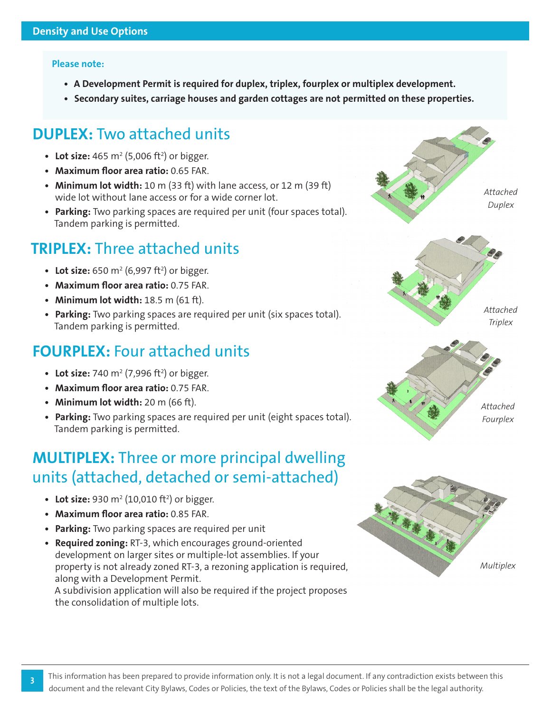#### **Please note:**

- **• A Development Permit is required for duplex, triplex, fourplex or multiplex development.**
- **• Secondary suites, carriage houses and garden cottages are not permitted on these properties.**

### **DUPLEX:** Two attached units

- Lot size:  $465 \text{ m}^2 (5,006 \text{ ft}^2)$  or bigger.
- **• Maximum floor area ratio:** 0.65 FAR.
- **• Minimum lot width:** 10 m (33 ft) with lane access, or 12 m (39 ft) wide lot without lane access or for a wide corner lot.
- **• Parking:** Two parking spaces are required per unit (four spaces total). Tandem parking is permitted.

### **TRIPLEX:** Three attached units

- Lot size: 650 m<sup>2</sup> (6,997 ft<sup>2</sup>) or bigger.
- **• Maximum floor area ratio:** 0.75 FAR.
- **• Minimum lot width:** 18.5 m (61 ft).
- **• Parking:** Two parking spaces are required per unit (six spaces total). Tandem parking is permitted.

### **FOURPLEX:** Four attached units

- Lot size: 740  $m^2$  (7,996 ft<sup>2</sup>) or bigger.
- **• Maximum floor area ratio:** 0.75 FAR.
- **• Minimum lot width:** 20 m (66 ft).
- **• Parking:** Two parking spaces are required per unit (eight spaces total). Tandem parking is permitted.

### **MULTIPLEX:** Three or more principal dwelling units (attached, detached or semi-attached)

- Lot size: 930 m<sup>2</sup> (10,010 ft<sup>2</sup>) or bigger.
- **• Maximum floor area ratio:** 0.85 FAR.

**3**

- **• Parking:** Two parking spaces are required per unit
- **• Required zoning:** RT-3, which encourages ground-oriented development on larger sites or multiple-lot assemblies. If your property is not already zoned RT-3, a rezoning application is required, along with a Development Permit.

A subdivision application will also be required if the project proposes the consolidation of multiple lots.